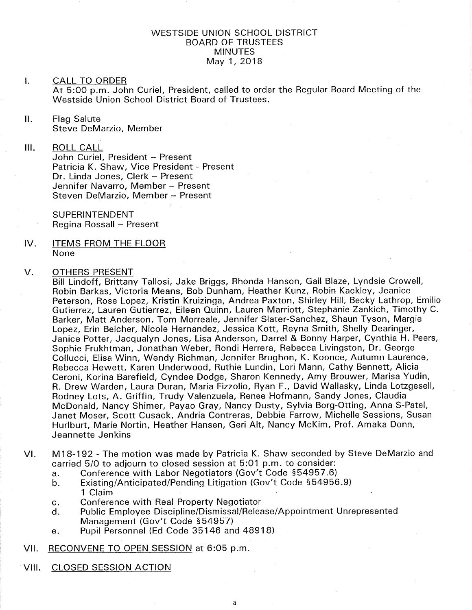# WESTSIDE UNION SCHOOL DISTRICT BOARD OF TRUSTEES MINUTES May <sup>1</sup>,2018

## I. CALL TO ORDER

At 5:OO p.m. John Curiel, President, called to order the Regular Board Meeting of the Westside Union School District Board of Trustees.

## ll. Flaq Salute Steve DeMarzio, Member

lil ROLL CALL

> John Curiel, President - Present Patricia K. Shaw, Vice President - Present Dr. Linda Jones, Clerk - Present Jennifer Navarro, Member - Present Steven DeMarzio, Member - Present

SUPERINTENDENT Regina Rossall - Present

IV. ITEMS FROM THE FLOOR None

### OTHERS PRESENT V

Bill Lindoff, Brittany Tallosi, Jake Briggs, Rhonda Hanson, Gail Blaze, Lyndsie Crowell, Robin Barkas, Victoria Means, Bob Dunham, Heather Kunz, Robin Kackley, Jeanice Peterson, Rose Lopez, Kristin Kruizinga, Andrea Paxton, Shirley Hill, Becky Lathrop, Emilio Gutierrez, Lauren Gutierrez, Eileen Quinn, Lauren Marriott, Stephanie Zankich, Timothy C. Barker, Matt Anderson, Tom Morreale, Jennifer Slater-Sanchez, Shaun Tyson, Margie Lopez, Erin Belcher, Nicole Hernandez, Jessica Kott, Reyna Smith, Shelly Dearinger, Janice Potter, Jacqualyn Jones, Lisa Anderson, Darrel & Bonny Harper, Cynthia H. Peers, Sophie Frukhtman, Jonathan Weber, Rondi Herrera, Rebecca Livingston, Dr. George Collucci, Elisa Winn, Wendy Richman, Jennifer Brughon, K. Koonce, Autumn Laurence, Rebecca Hewett, Karen Underwood, Ruthie Lundin, Lori Mann, Cathy Bennett, Alicia Ceroni, Korina Barefield, Cyndee Dodge, Sharon Kennedy, Amy Brouwer, Marisa Yudin, R. Drew Warden, Laura Duran, Maria Fizzolio, Ryan F., David Wallasky, Linda Lotzgesell, Rodney Lots, A. Griffin, Trudy Valenzuela, Renee Hofmann, Sandy Jones, Claudia McDonald, Nancy Shímer, Payao Gray, Nancy Dusty, Sylvia Borg-Otting, Anna S-Patel, Janet Moser, Scott Cusack, Andria Contreras, Debbie Farrow, Michelle Sessions, Susan Hurlburt, Marie Nortin, Heather Hansen, Geri Alt, Nancy McKim, Prof. Amaka Donn, Jeannette Jenkins

- VI. M18-192 The motion was made by Patricia K. Shaw seconded by Steve DeMarzio and carried 5/0 to adjourn to closed session at 5:01 p.m. to consider:<br>a. Conference with Labor Negotiators (Gov't Code §54957.6)
	-
	- a. Conference with Labor Negotiators (Gov't Code §54957.6)<br>b. Existing/Anticipated/Pending Litigation (Gov't Code §54956.9) 1 Claim
	-
	- c. Conference with Real Property Negotiator<br>d. Public Employee Discipline/Dismissal/Release/Appointment Unrepresented Management (Gov't Code 554957)
	- e. Pupil Personnel (Ed Code 35146 and 48918)

vil. RECONVENE TO OPEN SESSION at 6:05 p.m.

VIII. CLOSED SESSION ACTION

ã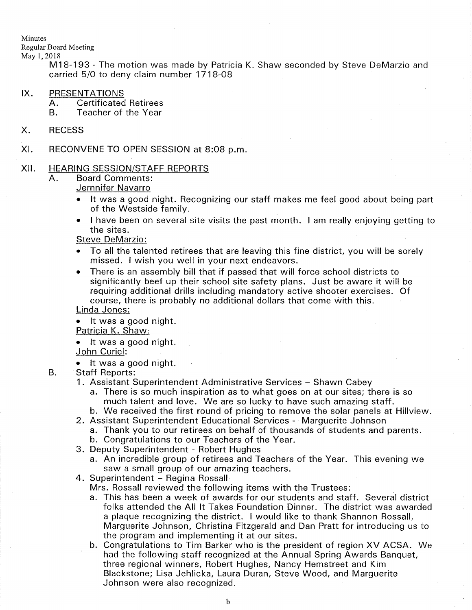Minutes

Regular Board Meeting

May 1,2018

M18-193 - The motion was made by Patricia K. Shaw seconded by Steve DeMarzio and carried 5/O to deny claim number 1718-OB

- IX. PRESENTATIONS<br>A. Certificated Retirees<br>B. Teacher of the Year
	-
- X. RECESS
- RECONVENE TO OPEN SESSION at 8:08 p.m XI

### HEARING SESSION/STAFF REPORTS XII

- $A<sub>1</sub>$ Board Comments:
	- Jernnifer Navarro
		- It was a good night. Recognizing our staff makes me feel good about being part of the Westside family.
		- I have been on several site visits the past month. I am really enjoying getting to the sites.

Steve DeMarzio:

- To all the talented retirees that are leaving this fine district, you will be sorely missed. I wish you well in your next endeavors.
- There is an assembly bill that if passed that will force school districts to significantly beef up their school site safety plans. Just be aware it will be requiring additional drills including mandatory active shooter exercises. Of course, there is probably no additional dollars that come with this.

Linda Jones:

It was a good night.

Patricia K. Shaw:

- . lt was a good night John Curiel:
- 

B.

- It was a good night.<br>Staff Reports:<br>1. Assistant Superintendent Administrative Services Shawn Cabey
	- a. There is so much inspiration as to what goes on at our sites; there is so much talent and love. We are so lucky to have such amazing staff.
- b. We received the first round of pricing to remove the solar panels at Hillview.<br>2. Assistant Superintendent Educational Services Marguerite Johnson
	-
- a. Thank you to our retirees on behalf of thousands of students and parents. b. Congratulations to our Teachers of the Year. 3. Deputy Superintendent Robert Hughes
	-
- 
- a. An incredible group of retirees and Teachers of the Year. This evening we saw a small group of our amazing teachers.<br>4. Superintendent - Regina Rossall
- 

Mrs. Rossall reviewed the following items with the Trustees:

- a. This has been a week of awards for our students and staff. Several district folks attended the All lt Takes Foundation Dinner. The district was awarded a plaque recognizing the district. I would like to thank Shannon Rossall, Marguerite Johnson, Christina Fitzgerald and Dan Pratt for introducing us to the program and implementing it at our sites.
- b. Congratulations to Tim Barker who is the president of region XV ACSA. We had the following staff recognized at the Annual Spring Awards Banquet, three regional winners, Robert Hughes, Nancy Hemstreet and Kim Blackstone; Lisa Jehlicka, Laura Duran, Steve Wood, and Marguerite Johnson were also recognized.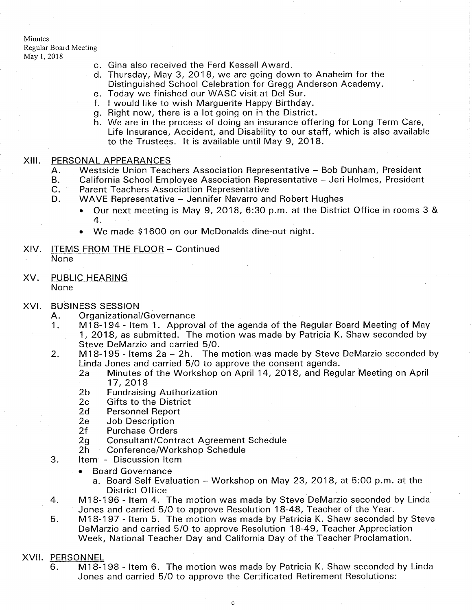Minutes Regular Board Meeting May 1,2018

- c Gina also received the Ferd Kessell Award.
- d Thursday, May 3,2O18, we are going down to Anaheim forthe Distinguished School Celebration for Gregg Anderson Academy.
- e. Today we finished our WASC visit at Del Sur.
- f. I would like to wish Marguerite Happy Birthday
- g. Right now, there is a lot going on in the District
- We are in the process of doing an insurance offering for Long Term Care, h Life lnsurance, Accident, and Disability to our staff, which is also available to the Trustees. lt is available until May 9, 2O18.

- XIII. PERSONAL APPEARANCES<br>
A. Westside Union Teachers Association Representative Bob Dunham, President<br>
B. California School Employee Association Representative Jeri Holmes, President<br>
C. Parent Teachers Association R
	-
	- - - $\bullet$  Our next meeting is May 9, 2018, 6:30 p.m. at the District Office in rooms 3 & 4.
			- We made \$1600 on our McDonalds dine-out night.
- XIV. ITEMS FROM THE FLOOR Continued None
- PUBLIC HEARING None XV

### XVI.

- 
- BUSINESS SESSION<br>A. Organizational/Governance<br>1. M18-194 Item 1. Approval of the agenda of the Regular Board Meeting of May<br>1, 2018, as submitted. The motion was made by Patricia K. Shaw seconded by
- 1, 2. Steve DeMarzio and carried 5/0.<br>195 Items 2a 2h. The motion was made by Steve DeMarzio seconded by Steve DeMarzio seconded by<br>1976 Linda Jones and carried 5/0 to approve the consent agenda.
	- 2a Minutes of the Workshop on April 14, 2018, and Regular Meeting on April 17, 2018
	-
	-
	-
	-
	-
- 17, 2018<br>
2b Fundraising Authorization<br>
2c Gifts to the District<br>
2d Personnel Report<br>
2e Job Description<br>
2f Purchase Orders<br>
2g Consultant/Contract Agreement Schedule<br>
2h Conference/Workshop Schedule<br>
3. ltem Discussio
	-
- - . Board Governance
		- a. Board Self Evaluation Workshop on May 23, 2018, at 5:00 p.m. at the
- District Office<br>4. M18-196 Item 4. The motion was made by Steve DeMarzio seconded by Linda<br>18-48, Teacher of the Year.
- 5. M18-197 Item 5. The motion was made by Patricia K. Shaw seconded by Steve DeMarzio and carried 5/O to approve Resolution 18-49, Teacher Appreciation Week, National Teacher Day and California Day of the Teacher Proclamation.
- XVII. PERSONNEL
	- M18-198 ltem 6. The motion was made by Patricia K. Shaw seconded by Linda Jones and carried 5/O to approve the Certificated Retirement Resolutions: 6.

c